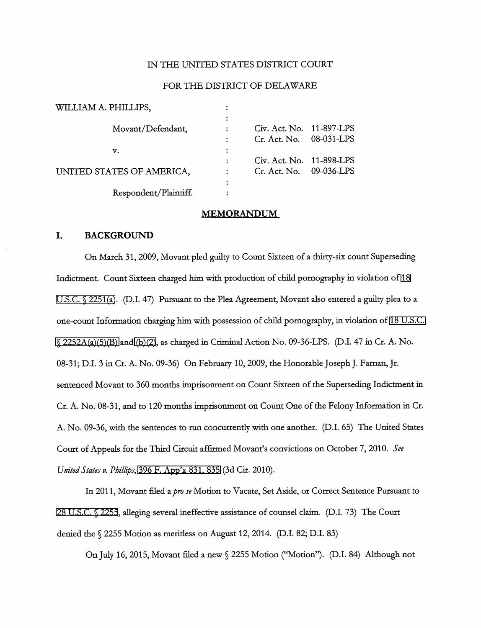## IN THE UNITED STATES DISTRICT COURT

### FOR THE DISTRICT OF DELAWARE

| Civ. Act. No. 11-897-LPS |  |
|--------------------------|--|
| Cr. Act. No. 08-031-LPS  |  |
|                          |  |
| Civ. Act. No. 11-898-LPS |  |
| Cr. Act. No. 09-036-LPS  |  |
|                          |  |
|                          |  |
|                          |  |

### MEMORANDUM

### I. BACKGROUND

On March 31, 2009, Movant pled guilty to Count Sixteen of a thirty-six count Superseding Indictment. Count Sixteen charged him with production of child pornography in violation of [18](http://www.google.com/search?q=18++u.s.c.+2251(a)) [U.S.C. § 2251\(a\)](http://www.google.com/search?q=18++u.s.c.+2251(a)). (D.I. 47) Pursuant to the Plea Agreement, Movant also entered a guilty plea to a one-count Information charging him with possession of child pomography, in violation of [18 U.S.C.](http://www.google.com/search?q=18+u.s.c.++2252a(a)(5)(b))  $\Diamond$  2252A(a)(5)(B) and [\(b\)\(2\),](http://www.google.com/search?q=18+u.s.c.++2252a(b)(2)) as charged in Criminal Action No. 09-36-LPS. (D.I. 47 in Cr. A. No. 08-31; D.I. 3 in Cr. A. No. 09-36) On Febmary 10, 2009, the Honorable Joseph J. Faman, Jr. sentenced Movant to 360 months imprisonment on Count Sixteen of the Superseding Indictment in Cr. A. No. 08-31, and to 120 months imprisonment on Count One of the Felony Information in Cr. A. No. 09-36, with the sentences to run concurrently with one another. (D.I. 65) The United States Court of Appeals for the Third Circuit affirmed Movant's convictions on October 7, 2010. See United States v. Phillips, [396 F. App'x 831, 835](http://scholar.google.com/scholar?q=396+f.+app) (3d Cir. 2010).

In 2011, Movant filed a pro se Motion to Vacate, Set Aside, or Correct Sentence Pursuant to [28 U.S.C. § 2255](http://www.google.com/search?q=28+u.s.c.+2255), alleging several ineffective assistance of counsel claim. (D.I. 73) The Court denied the § 2255 Motion as merifless on August 12, 2014. (D.I. 82; D.I. 83)

On July 16, 2015, Movant filed a new § 2255 Motion ("Motion"). (D.I. 84) Although not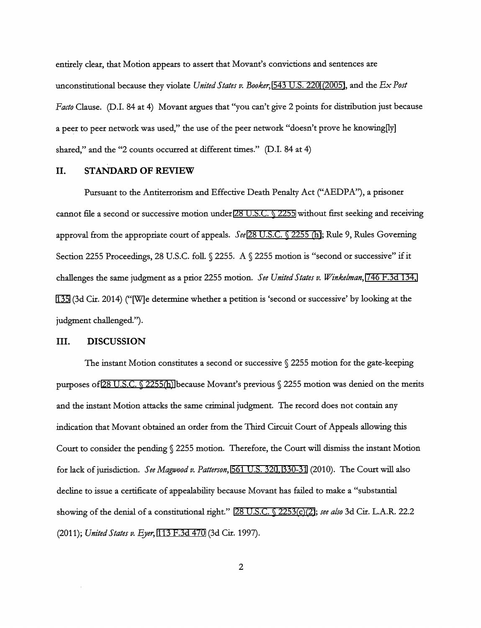entirely clear, that Motion appears to assert that Movant's convictions and sentences are unconstitutional because they violate United States v. Booker, [543 U.S. 220 \(2005\),](http://www.google.com/search?q=543+u.s.220(2005)) and the  $Ex$  Post Facto Clause. (D.I. 84 at 4) Movant argues that "yon can't give 2 points for distribution just because a peer to peer network was used," the use of the peer network "doesn't prove he knowing[ly] shared," and the "2 counts occurred at different times." (D.I. 84 at 4)

## II. STANDARD OF REVIEW

Pursuant to the Antiterrorism and Effective Death Penalty Act ("AEDPA"), a prisoner cannot ffle a second or successive motion under [28 U.S.C. § 2255](http://www.google.com/search?q=28+u.s.c.+2255) without first seeking and receiving approval from the appropriate court of appeals. See [28 U.S.C. § 2255 \(h\);](http://www.google.com/search?q=28u.s.c.2255(h)) Rule 9, Rules Governing Section 2255 Proceedings, 28 U.S.C. foll.  $\sqrt{2255}$ . A  $\sqrt{2255}$  motion is "second or successive" if it challenges the same judgment as a prior 2255 motion. See United States v. Winkelman, [746 F.3d 134,](http://scholar.google.com/scholar?q=746+f.3d+134&btnG=&hl=en&as_sdt=6) [135](http://scholar.google.com/scholar?q=746+f.3d+134&btnG=&hl=en&as_sdt=6) (3d Cir. 2014) ("[W]e determine whether a petition is 'second or successive' by looking at the judgment challenged.").

## III. DISCUSSION

The instant Motion constitutes a second or successive  $\sqrt{2255}$  motion for the gate-keeping purposes of [28 U.S.C. § 2255\(h\)](http://www.google.com/search?q=28+u.s.c.+2255(h)) because Movant's previous § 2255 motion was denied on the merits and the instant Motion attacks the same criminal judgment. The record does not contain any indication that Movant obtained an order from the Third Circuit Court of Appeals allowing this Court to consider the pending § 2255 motion. Therefore, the Court will dismiss the instant Motion for lack of jurisdiction. See Magvood v, Patterson, [561 U.S. 32](http://www.google.com/search?q=561+u.s.+320)[0, 3](http://scholar.google.com/scholar?q=561+u.s.+320&btnG=&hl=en&as_sdt=6)[30-31](http://www.google.com/search?q=330-31) (2010). The Court will also decline to issue a certificate of appealability because Movant has failed to make a "substantial showing of the denial of a constitutional right." [28 U.S.C. § 2253\(c\)\(2\)](http://www.google.com/search?q=28+u.s.c.+2253(c)(2)); see also 3d Cir. L.A.R. 22.2 (2011); United States v. Eyer, [113 F.3d 470](http://scholar.google.com/scholar?q=113+f.3d+470&btnG=&hl=en&as_sdt=6) (3d Cir. 1997).

 $\overline{2}$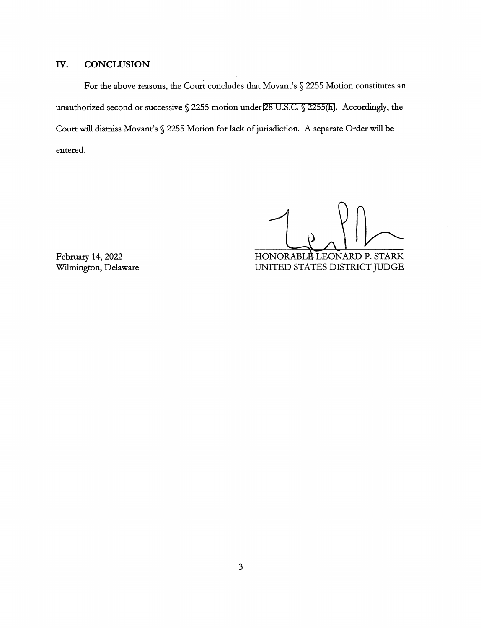# IV. CONCLUSION

For the above reasons, the Court concludes that Movant's § 2255 Motion constitutes an unauthorized second or successive § 2255 motion under [28 U.S.C. § 2255\(h\)](http://www.google.com/search?q=28+u.s.c.+2255(h)). Accordingly, the Court wiJI dismiss Movant's § 2255 Motion for lack of jurisdiction. A separate Order will be entered.

 $\sum_{\text{max}}$ 

HONORABLE LEONARD P. STARK UNITED STATES DISTRICT JUDGE

February 14, 2022 Wilmington, Delaware